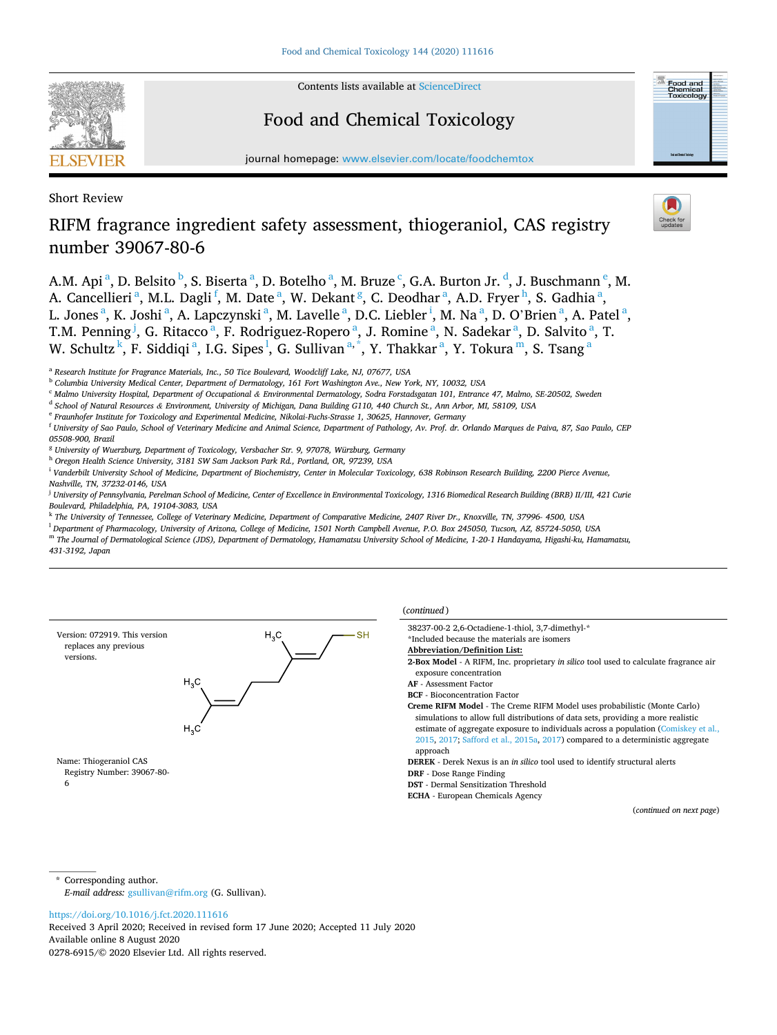

Contents lists available at [ScienceDirect](www.sciencedirect.com/science/journal/02786915)

# Food and Chemical Toxicology

journal homepage: [www.elsevier.com/locate/foodchemtox](https://www.elsevier.com/locate/foodchemtox)

Short Review

# RIFM fragrance ingredient safety assessment, thiogeraniol, CAS registry number 39067-80-6

A.M. Api <sup>a</sup>, D. Belsito <sup>b</sup>, S. Biserta <sup>a</sup>, D. Botelho <sup>a</sup>, M. Bruze <sup>c</sup>, G.A. Burton Jr. <sup>d</sup>, J. Buschmann <sup>e</sup>, M. A. Cancellieri<sup>a</sup>, M.L. Dagli<sup>f</sup>, M. Date<sup>a</sup>, W. Dekant<sup>g</sup>, C. Deodhar<sup>a</sup>, A.D. Fryer<sup>h</sup>, S. Gadhia<sup>a</sup>, L. Jones<sup>a</sup>, K. Joshi<sup>a</sup>, A. Lapczynski<sup>a</sup>, M. Lavelle<sup>a</sup>, D.C. Liebler<sup>i</sup>, M. Na<sup>a</sup>, D. O'Brien<sup>a</sup>, A. Patel<sup>a</sup>, T.M. Penning <sup>j</sup>, G. Ritacco <sup>a</sup>, F. Rodriguez-Ropero <sup>a</sup>, J. Romine <sup>a</sup>, N. Sadekar <sup>a</sup>, D. Salvito <sup>a</sup>, T. W. Schultz $^{\rm k}$ , F. Siddiqi $^{\rm a}$ , I.G. Sipes $^{\rm l}$ , G. Sullivan $^{\rm a,*}$ , Y. Thakkar $^{\rm a}$ , Y. Tokura $^{\rm m}$ , S. Tsang $^{\rm a}$ 

<sup>c</sup> *Malmo University Hospital, Department of Occupational & Environmental Dermatology, Sodra Forstadsgatan 101, Entrance 47, Malmo, SE-20502, Sweden* 

- <sup>d</sup> *School of Natural Resources & Environment, University of Michigan, Dana Building G110, 440 Church St., Ann Arbor, MI, 58109, USA*
- <sup>e</sup> *Fraunhofer Institute for Toxicology and Experimental Medicine, Nikolai-Fuchs-Strasse 1, 30625, Hannover, Germany*

- *05508-900, Brazil*
- <sup>g</sup> *University of Wuerzburg, Department of Toxicology, Versbacher Str. 9, 97078, Würzburg, Germany*
- <sup>h</sup> *Oregon Health Science University, 3181 SW Sam Jackson Park Rd., Portland, OR, 97239, USA*

<sup>i</sup> Vanderbilt University School of Medicine, Department of Biochemistry, Center in Molecular Toxicology, 638 Robinson Research Building, 2200 Pierce Avenue, *Nashville, TN, 37232-0146, USA* 

<sup>j</sup> *University of Pennsylvania, Perelman School of Medicine, Center of Excellence in Environmental Toxicology, 1316 Biomedical Research Building (BRB) II/III, 421 Curie Boulevard, Philadelphia, PA, 19104-3083, USA* 

<sup>k</sup> *The University of Tennessee, College of Veterinary Medicine, Department of Comparative Medicine, 2407 River Dr., Knoxville, TN, 37996- 4500, USA* 

- <sup>l</sup> *Department of Pharmacology, University of Arizona, College of Medicine, 1501 North Campbell Avenue, P.O. Box 245050, Tucson, AZ, 85724-5050, USA*
- <sup>m</sup> *The Journal of Dermatological Science (JDS), Department of Dermatology, Hamamatsu University School of Medicine, 1-20-1 Handayama, Higashi-ku, Hamamatsu, 431-3192, Japan*



(*continued* )

38237-00-2 2,6-Octadiene-1-thiol, 3,7-dimethyl-\*

**2-Box Model** - A RIFM, Inc. proprietary *in silico* tool used to calculate fragrance air exposure concentration

**AF** - Assessment Factor

**BCF** - Bioconcentration Factor

**Creme RIFM Model** - The Creme RIFM Model uses probabilistic (Monte Carlo) simulations to allow full distributions of data sets, providing a more realistic estimate of aggregate exposure to individuals across a population ([Comiskey et al.,](#page-5-0)  [2015,](#page-5-0) [2017](#page-5-0); [Safford et al., 2015a](#page-5-0), [2017](#page-5-0)) compared to a deterministic aggregate approach

**DEREK** - Derek Nexus is an *in silico* tool used to identify structural alerts

**DRF** - Dose Range Finding

**DST** - Dermal Sensitization Threshold

**ECHA** - European Chemicals Agency

(*continued on next page*)

\* Corresponding author. *E-mail address:* [gsullivan@rifm.org](mailto:gsullivan@rifm.org) (G. Sullivan).

Available online 8 August 2020 0278-6915/© 2020 Elsevier Ltd. All rights reserved. Received 3 April 2020; Received in revised form 17 June 2020; Accepted 11 July 2020



<sup>a</sup> *Research Institute for Fragrance Materials, Inc., 50 Tice Boulevard, Woodcliff Lake, NJ, 07677, USA* 

<sup>b</sup> *Columbia University Medical Center, Department of Dermatology, 161 Fort Washington Ave., New York, NY, 10032, USA* 

<sup>f</sup> *University of Sao Paulo, School of Veterinary Medicine and Animal Science, Department of Pathology, Av. Prof. dr. Orlando Marques de Paiva, 87, Sao Paulo, CEP* 

<sup>\*</sup>Included because the materials are isomers

**Abbreviation/Definition List:** 

<https://doi.org/10.1016/j.fct.2020.111616>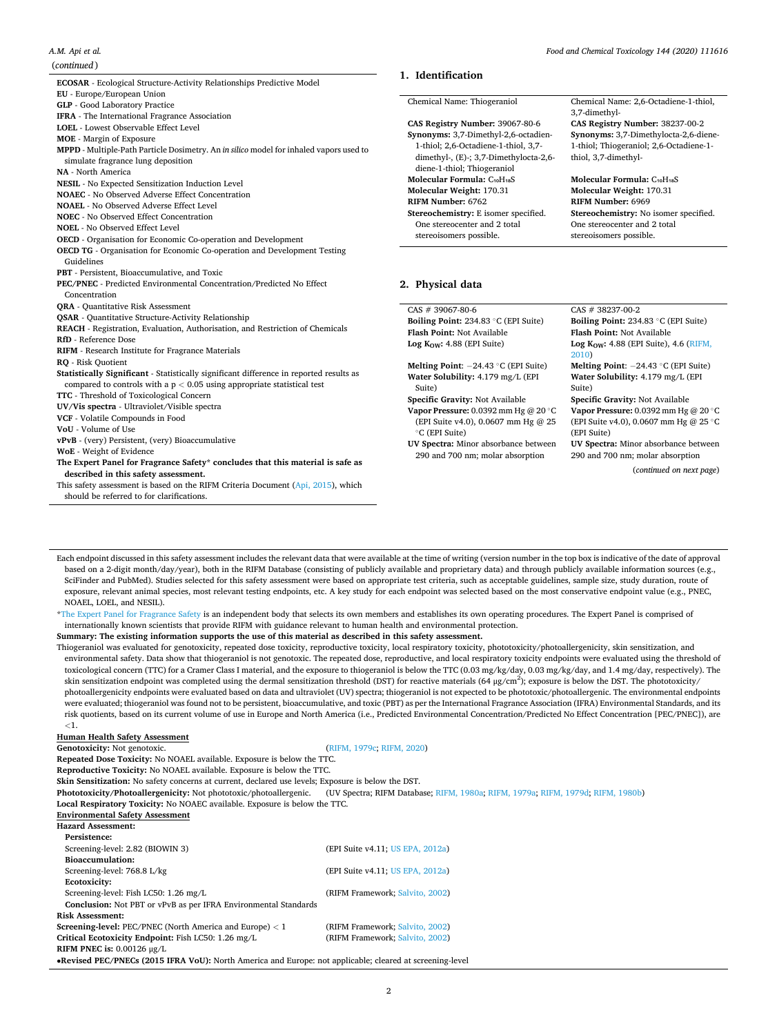| ECOSAR - Ecological Structure-Activity Relationships Predictive Model                   | 1. Identification                                    |                                                      |
|-----------------------------------------------------------------------------------------|------------------------------------------------------|------------------------------------------------------|
| EU - Europe/European Union                                                              |                                                      |                                                      |
| <b>GLP</b> - Good Laboratory Practice                                                   | Chemical Name: Thiogeraniol                          | Chemical Name: 2,6-Octadiene-1-thiol,                |
| IFRA - The International Fragrance Association                                          |                                                      | 3,7-dimethyl-                                        |
| LOEL - Lowest Observable Effect Level                                                   | CAS Registry Number: 39067-80-6                      | CAS Registry Number: 38237-00-2                      |
| MOE - Margin of Exposure                                                                | Synonyms: 3,7-Dimethyl-2,6-octadien-                 | Synonyms: 3,7-Dimethylocta-2,6-diene-                |
| MPPD - Multiple-Path Particle Dosimetry. An in silico model for inhaled vapors used to  | 1-thiol; 2,6-Octadiene-1-thiol, 3,7-                 | 1-thiol; Thiogeraniol; 2,6-Octadiene-1-              |
| simulate fragrance lung deposition                                                      | dimethyl-, (E)-; 3,7-Dimethylocta-2,6-               | thiol, 3,7-dimethyl-                                 |
| <b>NA -</b> North America                                                               | diene-1-thiol; Thiogeraniol                          |                                                      |
| NESIL - No Expected Sensitization Induction Level                                       | Molecular Formula: C <sub>10</sub> H <sub>18</sub> S | Molecular Formula: C <sub>10</sub> H <sub>18</sub> S |
| <b>NOAEC</b> - No Observed Adverse Effect Concentration                                 | Molecular Weight: 170.31                             | Molecular Weight: 170.31                             |
| <b>NOAEL</b> - No Observed Adverse Effect Level                                         | RIFM Number: 6762                                    | RIFM Number: 6969                                    |
| <b>NOEC</b> - No Observed Effect Concentration                                          | Stereochemistry: E isomer specified.                 | Stereochemistry: No isomer specified.                |
| <b>NOEL</b> - No Observed Effect Level                                                  | One stereocenter and 2 total                         | One stereocenter and 2 total                         |
| OECD - Organisation for Economic Co-operation and Development                           | stereoisomers possible.                              | stereoisomers possible.                              |
| OECD TG - Organisation for Economic Co-operation and Development Testing                |                                                      |                                                      |
| Guidelines                                                                              |                                                      |                                                      |
| PBT - Persistent, Bioaccumulative, and Toxic                                            |                                                      |                                                      |
| PEC/PNEC - Predicted Environmental Concentration/Predicted No Effect                    | 2. Physical data                                     |                                                      |
| Concentration                                                                           |                                                      |                                                      |
| <b>QRA</b> - Quantitative Risk Assessment                                               | $CAS # 39067-80-6$                                   | $CAS # 38237-00-2$                                   |
| <b>OSAR</b> - Quantitative Structure-Activity Relationship                              | Boiling Point: 234.83 °C (EPI Suite)                 | Boiling Point: 234.83 °C (EPI Suite)                 |
| REACH - Registration, Evaluation, Authorisation, and Restriction of Chemicals           | Flash Point: Not Available                           | Flash Point: Not Available                           |
| RfD - Reference Dose                                                                    | Log $K_{OW}$ : 4.88 (EPI Suite)                      | Log Kow: $4.88$ (EPI Suite), $4.6$ (RIFM,            |
| RIFM - Research Institute for Fragrance Materials                                       |                                                      | 2010)                                                |
| RO - Risk Quotient                                                                      | Melting Point: $-24.43$ °C (EPI Suite)               | Melting Point: $-24.43$ °C (EPI Suite)               |
| Statistically Significant - Statistically significant difference in reported results as | Water Solubility: 4.179 mg/L (EPI                    | Water Solubility: 4.179 mg/L (EPI                    |
| compared to controls with a $p < 0.05$ using appropriate statistical test               | Suite)                                               | Suite)                                               |
| TTC - Threshold of Toxicological Concern                                                | Specific Gravity: Not Available                      | Specific Gravity: Not Available                      |
| UV/Vis spectra - Ultraviolet/Visible spectra                                            | Vapor Pressure: 0.0392 mm Hg @ 20 °C                 | Vapor Pressure: 0.0392 mm Hg @ 20 °C                 |
| VCF - Volatile Compounds in Food                                                        | (EPI Suite v4.0), 0.0607 mm Hg @ 25                  | (EPI Suite v4.0), 0.0607 mm Hg @ 25 °C               |
| VoU - Volume of Use                                                                     | °C (EPI Suite)                                       | (EPI Suite)                                          |
| vPvB - (very) Persistent, (very) Bioaccumulative                                        | UV Spectra: Minor absorbance between                 | UV Spectra: Minor absorbance between                 |
| WoE - Weight of Evidence                                                                | 290 and 700 nm; molar absorption                     | 290 and 700 nm; molar absorption                     |
| The Expert Panel for Fragrance Safety* concludes that this material is safe as          |                                                      |                                                      |
|                                                                                         |                                                      | (continued on next page)                             |
| described in this safety assessment.                                                    |                                                      |                                                      |
| This safety assessment is based on the RIFM Criteria Document (Api, 2015), which        |                                                      |                                                      |

Each endpoint discussed in this safety assessment includes the relevant data that were available at the time of writing (version number in the top box is indicative of the date of approval based on a 2-digit month/day/year), both in the RIFM Database (consisting of publicly available and proprietary data) and through publicly available information sources (e.g., SciFinder and PubMed). Studies selected for this safety assessment were based on appropriate test criteria, such as acceptable guidelines, sample size, study duration, route of exposure, relevant animal species, most relevant testing endpoints, etc. A key study for each endpoint was selected based on the most conservative endpoint value (e.g., PNEC, NOAEL, LOEL, and NESIL).

\*[The Expert Panel for Fragrance Safety](http://fragrancesafetypanel.org/) is an independent body that selects its own members and establishes its own operating procedures. The Expert Panel is comprised of internationally known scientists that provide RIFM with guidance relevant to human health and environmental protection.

**Summary: The existing information supports the use of this material as described in this safety assessment.** 

Thiogeraniol was evaluated for genotoxicity, repeated dose toxicity, reproductive toxicity, local respiratory toxicity, phototoxicity/photoallergenicity, skin sensitization, and environmental safety. Data show that thiogeraniol is not genotoxic. The repeated dose, reproductive, and local respiratory toxicity endpoints were evaluated using the threshold of toxicological concern (TTC) for a Cramer Class I material, and the exposure to thiogeraniol is below the TTC (0.03 mg/kg/day, 0.03 mg/kg/day, and 1.4 mg/day, respectively). The skin sensitization endpoint was completed using the dermal sensitization threshold (DST) for reactive materials (64 μg/cm<sup>2</sup>); exposure is below the DST. The phototoxicity/ photoallergenicity endpoints were evaluated based on data and ultraviolet (UV) spectra; thiogeraniol is not expected to be phototoxic/photoallergenic. The environmental endpoints were evaluated; thiogeraniol was found not to be persistent, bioaccumulative, and toxic (PBT) as per the International Fragrance Association (IFRA) Environmental Standards, and its risk quotients, based on its current volume of use in Europe and North America (i.e., Predicted Environmental Concentration/Predicted No Effect Concentration [PEC/PNEC]), are *<*1.

# **Human Health Safety Assessment**

Genotoxicity: Not genotoxic. [\(RIFM, 1979c; RIFM, 2020\)](#page-5-0)

**Repeated Dose Toxicity:** No NOAEL available. Exposure is below the TTC.

**Reproductive Toxicity:** No NOAEL available. Exposure is below the TTC.

**Skin Sensitization:** No safety concerns at current, declared use levels; Exposure is below the DST.

**Phototoxicity/Photoallergenicity:** Not phototoxic/photoallergenic. (UV Spectra; RIFM Database; [RIFM, 1980a; RIFM, 1979a;](#page-5-0) [RIFM, 1979d; RIFM, 1980b](#page-5-0))

**Local Respiratory Toxicity:** No NOAEC available. Exposure is below the TTC.

## **Environmental Safety Assessment Hazard Assessment: Persistence:**  Screening-level: 2.82 (BIOWIN 3) (EPI Suite v4.11; [US EPA, 2012a](#page-5-0)) **Bioaccumulation:**  Screening-level: 768.8 L/kg (EPI Suite v4.11; [US EPA, 2012a](#page-5-0)) **Ecotoxicity:**  Screening-level: Fish LC50: 1.26 mg/L (RIFM Framework; [Salvito, 2002\)](#page-5-0) **Conclusion:** Not PBT or vPvB as per IFRA Environmental Standards **Risk Assessment: Screening-level:** PEC/PNEC (North America and Europe) *<* 1 (RIFM Framework; [Salvito, 2002\)](#page-5-0) **Critical Ecotoxicity Endpoint:** Fish LC50: 1.26 mg/L (RIFM Framework; [Salvito, 2002\)](#page-5-0) **RIFM PNEC is:** 0.00126 μg/L

•**Revised PEC/PNECs (2015 IFRA VoU):** North America and Europe: not applicable; cleared at screening-level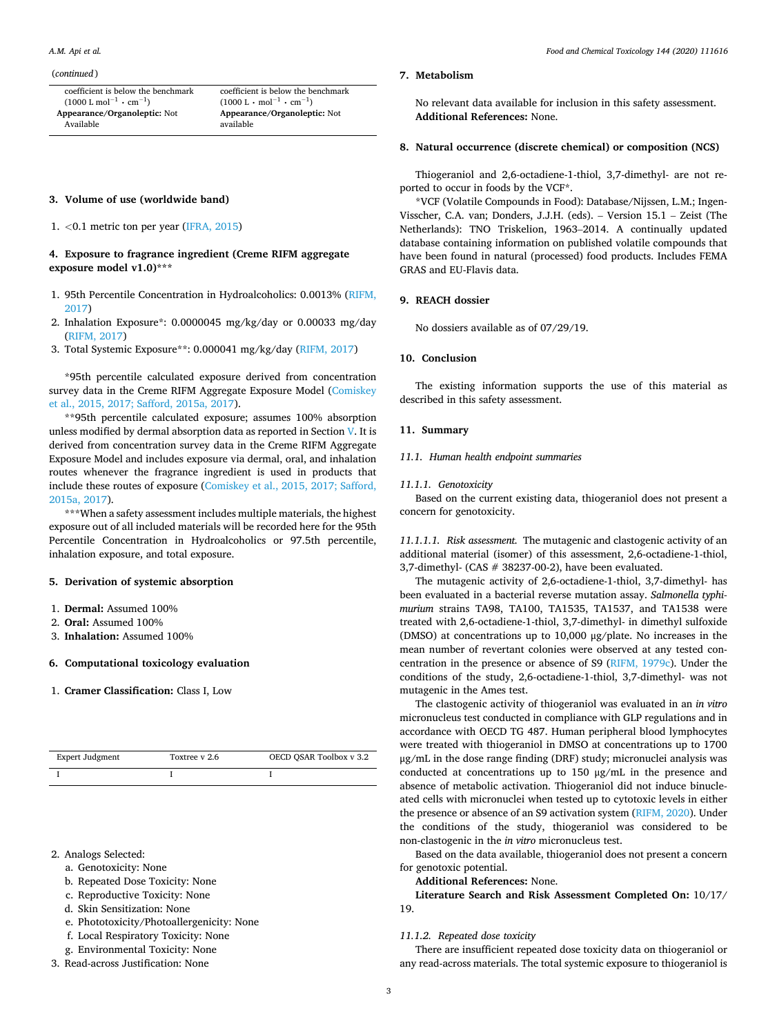#### (*continued* )

coefficient is below the benchmark  $(1000 \text{ L mol}^{-1} \cdot \text{cm}^{-1})$ **Appearance/Organoleptic:** Not Available

coefficient is below the benchmark  $(1000 \text{ L} \cdot \text{mol}^{-1} \cdot \text{cm}^{-1})$ **Appearance/Organoleptic:** Not available

## **3. Volume of use (worldwide band)**

1. *<*0.1 metric ton per year ([IFRA, 2015\)](#page-5-0)

# **4. Exposure to fragrance ingredient (Creme RIFM aggregate exposure model v1.0)\*\*\***

- 1. 95th Percentile Concentration in Hydroalcoholics: 0.0013% [\(RIFM,](#page-5-0)  [2017](#page-5-0))
- 2. Inhalation Exposure\*: 0.0000045 mg/kg/day or 0.00033 mg/day [\(RIFM, 2017](#page-5-0))
- 3. Total Systemic Exposure\*\*: 0.000041 mg/kg/day ([RIFM, 2017\)](#page-5-0)

\*95th percentile calculated exposure derived from concentration survey data in the Creme RIFM Aggregate Exposure Model ([Comiskey](#page-5-0)  [et al., 2015, 2017; Safford, 2015a, 2017\)](#page-5-0).

\*\*95th percentile calculated exposure; assumes 100% absorption unless modified by dermal absorption data as reported in Section V. It is derived from concentration survey data in the Creme RIFM Aggregate Exposure Model and includes exposure via dermal, oral, and inhalation routes whenever the fragrance ingredient is used in products that include these routes of exposure [\(Comiskey et al., 2015, 2017; Safford,](#page-5-0)  [2015a, 2017](#page-5-0)).

\*\*\*When a safety assessment includes multiple materials, the highest exposure out of all included materials will be recorded here for the 95th Percentile Concentration in Hydroalcoholics or 97.5th percentile, inhalation exposure, and total exposure.

## **5. Derivation of systemic absorption**

- 1. **Dermal:** Assumed 100%
- 2. **Oral:** Assumed 100%
- 3. **Inhalation:** Assumed 100%

# **6. Computational toxicology evaluation**

1. **Cramer Classification:** Class I, Low

| Expert Judgment | Toxtree v 2.6 | OECD OSAR Toolbox v 3.2 |
|-----------------|---------------|-------------------------|
|                 |               |                         |

- 2. Analogs Selected:
	- a. Genotoxicity: None
	- b. Repeated Dose Toxicity: None
	- c. Reproductive Toxicity: None
	- d. Skin Sensitization: None
	- e. Phototoxicity/Photoallergenicity: None
	- f. Local Respiratory Toxicity: None
	- g. Environmental Toxicity: None
- 3. Read-across Justification: None

#### **7. Metabolism**

No relevant data available for inclusion in this safety assessment. **Additional References:** None.

## **8. Natural occurrence (discrete chemical) or composition (NCS)**

Thiogeraniol and 2,6-octadiene-1-thiol, 3,7-dimethyl- are not reported to occur in foods by the VCF\*.

\*VCF (Volatile Compounds in Food): Database/Nijssen, L.M.; Ingen-Visscher, C.A. van; Donders, J.J.H. (eds). – Version 15.1 – Zeist (The Netherlands): TNO Triskelion, 1963–2014. A continually updated database containing information on published volatile compounds that have been found in natural (processed) food products. Includes FEMA GRAS and EU-Flavis data.

# **9. REACH dossier**

No dossiers available as of 07/29/19.

# **10. Conclusion**

The existing information supports the use of this material as described in this safety assessment.

# **11. Summary**

#### *11.1. Human health endpoint summaries*

# *11.1.1. Genotoxicity*

Based on the current existing data, thiogeraniol does not present a concern for genotoxicity.

*11.1.1.1. Risk assessment.* The mutagenic and clastogenic activity of an additional material (isomer) of this assessment, 2,6-octadiene-1-thiol, 3,7-dimethyl- (CAS # 38237-00-2), have been evaluated.

The mutagenic activity of 2,6-octadiene-1-thiol, 3,7-dimethyl- has been evaluated in a bacterial reverse mutation assay. *Salmonella typhimurium* strains TA98, TA100, TA1535, TA1537, and TA1538 were treated with 2,6-octadiene-1-thiol, 3,7-dimethyl- in dimethyl sulfoxide (DMSO) at concentrations up to 10,000 μg/plate. No increases in the mean number of revertant colonies were observed at any tested concentration in the presence or absence of S9 ([RIFM, 1979c\)](#page-5-0). Under the conditions of the study, 2,6-octadiene-1-thiol, 3,7-dimethyl- was not mutagenic in the Ames test.

The clastogenic activity of thiogeraniol was evaluated in an *in vitro*  micronucleus test conducted in compliance with GLP regulations and in accordance with OECD TG 487. Human peripheral blood lymphocytes were treated with thiogeraniol in DMSO at concentrations up to 1700 μg/mL in the dose range finding (DRF) study; micronuclei analysis was conducted at concentrations up to 150 μg/mL in the presence and absence of metabolic activation. Thiogeraniol did not induce binucleated cells with micronuclei when tested up to cytotoxic levels in either the presence or absence of an S9 activation system ([RIFM, 2020\)](#page-5-0). Under the conditions of the study, thiogeraniol was considered to be non-clastogenic in the *in vitro* micronucleus test.

Based on the data available, thiogeraniol does not present a concern for genotoxic potential.

**Additional References:** None.

**Literature Search and Risk Assessment Completed On:** 10/17/ 19.

#### *11.1.2. Repeated dose toxicity*

There are insufficient repeated dose toxicity data on thiogeraniol or any read-across materials. The total systemic exposure to thiogeraniol is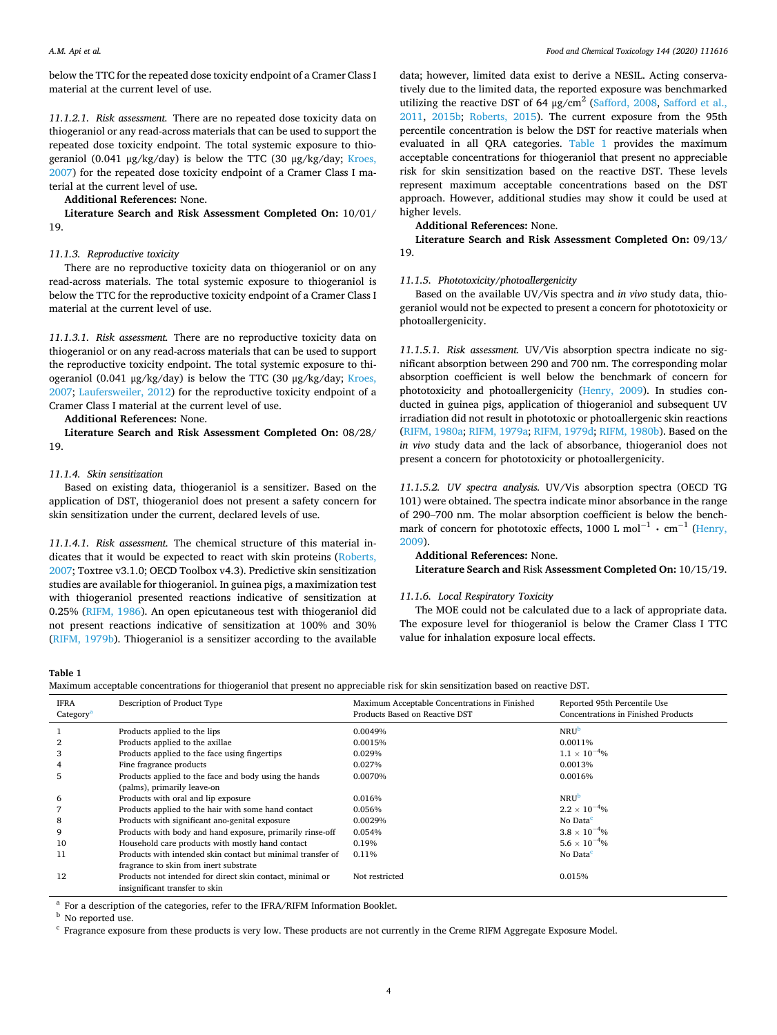below the TTC for the repeated dose toxicity endpoint of a Cramer Class I material at the current level of use.

*11.1.2.1. Risk assessment.* There are no repeated dose toxicity data on thiogeraniol or any read-across materials that can be used to support the repeated dose toxicity endpoint. The total systemic exposure to thiogeraniol (0.041  $\mu$ g/kg/day) is below the TTC (30  $\mu$ g/kg/day; Kroes, [2007\)](#page-5-0) for the repeated dose toxicity endpoint of a Cramer Class I material at the current level of use.

**Additional References:** None.

**Literature Search and Risk Assessment Completed On:** 10/01/ 19.

# *11.1.3. Reproductive toxicity*

There are no reproductive toxicity data on thiogeraniol or on any read-across materials. The total systemic exposure to thiogeraniol is below the TTC for the reproductive toxicity endpoint of a Cramer Class I material at the current level of use.

*11.1.3.1. Risk assessment.* There are no reproductive toxicity data on thiogeraniol or on any read-across materials that can be used to support the reproductive toxicity endpoint. The total systemic exposure to thiogeraniol (0.041 μg/kg/day) is below the TTC (30 μg/kg/day; Kroes, [2007;](#page-5-0) [Laufersweiler, 2012](#page-5-0)) for the reproductive toxicity endpoint of a Cramer Class I material at the current level of use.

**Additional References:** None.

**Literature Search and Risk Assessment Completed On:** 08/28/ 19.

# *11.1.4. Skin sensitization*

Based on existing data, thiogeraniol is a sensitizer. Based on the application of DST, thiogeraniol does not present a safety concern for skin sensitization under the current, declared levels of use.

*11.1.4.1. Risk assessment.* The chemical structure of this material indicates that it would be expected to react with skin proteins ([Roberts,](#page-5-0)  [2007;](#page-5-0) Toxtree v3.1.0; OECD Toolbox v4.3). Predictive skin sensitization studies are available for thiogeraniol. In guinea pigs, a maximization test with thiogeraniol presented reactions indicative of sensitization at 0.25% ([RIFM, 1986\)](#page-5-0). An open epicutaneous test with thiogeraniol did not present reactions indicative of sensitization at 100% and 30% ([RIFM, 1979b](#page-5-0)). Thiogeraniol is a sensitizer according to the available

data; however, limited data exist to derive a NESIL. Acting conservatively due to the limited data, the reported exposure was benchmarked utilizing the reactive DST of 64  $\mu$ g/cm<sup>2</sup> [\(Safford, 2008,](#page-5-0) Safford et al., [2011,](#page-5-0) [2015b;](#page-5-0) [Roberts, 2015\)](#page-5-0). The current exposure from the 95th percentile concentration is below the DST for reactive materials when evaluated in all QRA categories. Table 1 provides the maximum acceptable concentrations for thiogeraniol that present no appreciable risk for skin sensitization based on the reactive DST. These levels represent maximum acceptable concentrations based on the DST approach. However, additional studies may show it could be used at higher levels.

**Additional References:** None.

**Literature Search and Risk Assessment Completed On:** 09/13/ 19.

#### *11.1.5. Phototoxicity/photoallergenicity*

Based on the available UV/Vis spectra and *in vivo* study data, thiogeraniol would not be expected to present a concern for phototoxicity or photoallergenicity.

*11.1.5.1. Risk assessment.* UV/Vis absorption spectra indicate no significant absorption between 290 and 700 nm. The corresponding molar absorption coefficient is well below the benchmark of concern for phototoxicity and photoallergenicity ([Henry, 2009\)](#page-5-0). In studies conducted in guinea pigs, application of thiogeraniol and subsequent UV irradiation did not result in phototoxic or photoallergenic skin reactions ([RIFM, 1980a](#page-5-0); [RIFM, 1979a; RIFM, 1979d](#page-5-0); [RIFM, 1980b](#page-5-0)). Based on the *in vivo* study data and the lack of absorbance, thiogeraniol does not present a concern for phototoxicity or photoallergenicity.

*11.1.5.2. UV spectra analysis.* UV/Vis absorption spectra (OECD TG 101) were obtained. The spectra indicate minor absorbance in the range of 290–700 nm. The molar absorption coefficient is below the benchmark of concern for phototoxic effects, 1000 L mol<sup>-1</sup>  $\cdot$  cm<sup>-1</sup> (Henry, [2009\)](#page-5-0).

# **Additional References:** None.

**Literature Search and** Risk **Assessment Completed On:** 10/15/19.

#### *11.1.6. Local Respiratory Toxicity*

The MOE could not be calculated due to a lack of appropriate data. The exposure level for thiogeraniol is below the Cramer Class I TTC value for inhalation exposure local effects.

**Table 1** 

Maximum acceptable concentrations for thiogeraniol that present no appreciable risk for skin sensitization based on reactive DST.

| <b>IFRA</b><br>Category <sup>a</sup> | Description of Product Type                                 | Maximum Acceptable Concentrations in Finished<br>Products Based on Reactive DST | Reported 95th Percentile Use<br>Concentrations in Finished Products |
|--------------------------------------|-------------------------------------------------------------|---------------------------------------------------------------------------------|---------------------------------------------------------------------|
|                                      | Products applied to the lips                                | 0.0049%                                                                         | <b>NRU</b> <sup>b</sup>                                             |
| 2                                    | Products applied to the axillae                             | 0.0015%                                                                         | 0.0011%                                                             |
| 3                                    | Products applied to the face using fingertips               | 0.029%                                                                          | $1.1 \times 10^{-4}$ %                                              |
| 4                                    | Fine fragrance products                                     | 0.027%                                                                          | 0.0013%                                                             |
| 5                                    | Products applied to the face and body using the hands       | 0.0070%                                                                         | 0.0016%                                                             |
|                                      | (palms), primarily leave-on                                 |                                                                                 |                                                                     |
| 6                                    | Products with oral and lip exposure                         | 0.016%                                                                          | <b>NRU</b> <sup>b</sup>                                             |
|                                      | Products applied to the hair with some hand contact         | 0.056%                                                                          | $2.2 \times 10^{-4}$ %                                              |
| 8                                    | Products with significant ano-genital exposure              | 0.0029%                                                                         | No Data <sup>c</sup>                                                |
| 9                                    | Products with body and hand exposure, primarily rinse-off   | 0.054%                                                                          | $3.8 \times 10^{-4}$ %                                              |
| 10                                   | Household care products with mostly hand contact            | 0.19%                                                                           | $5.6 \times 10^{-4}$ %                                              |
| 11                                   | Products with intended skin contact but minimal transfer of | 0.11%                                                                           | No Data <sup>c</sup>                                                |
|                                      | fragrance to skin from inert substrate                      |                                                                                 |                                                                     |
| 12                                   | Products not intended for direct skin contact, minimal or   | Not restricted                                                                  | 0.015%                                                              |
|                                      | insignificant transfer to skin                              |                                                                                 |                                                                     |

<sup>a</sup> For a description of the categories, refer to the IFRA/RIFM Information Booklet.<br><sup>b</sup> No reported use.<br><sup>c</sup> Fragrance exposure from these products is very low. These products are not currently in the Creme RIFM Aggregat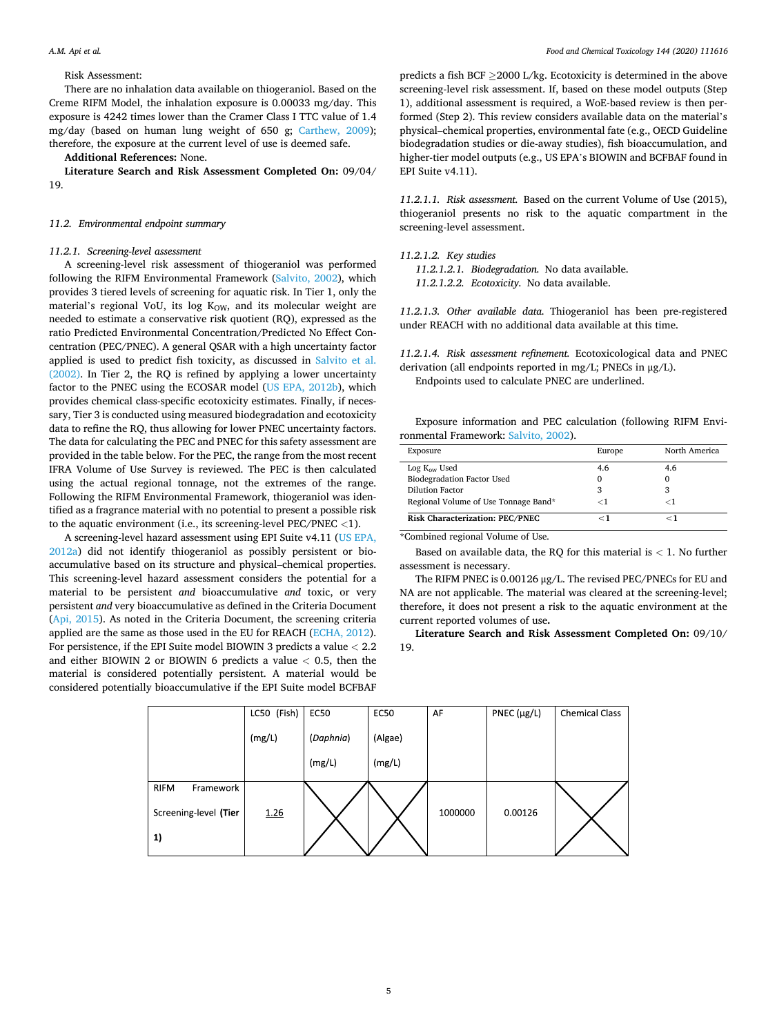#### Risk Assessment:

There are no inhalation data available on thiogeraniol. Based on the Creme RIFM Model, the inhalation exposure is 0.00033 mg/day. This exposure is 4242 times lower than the Cramer Class I TTC value of 1.4 mg/day (based on human lung weight of 650 g; [Carthew, 2009](#page-5-0)); therefore, the exposure at the current level of use is deemed safe.

# **Additional References:** None.

**Literature Search and Risk Assessment Completed On:** 09/04/ 19.

#### *11.2. Environmental endpoint summary*

#### *11.2.1. Screening-level assessment*

A screening-level risk assessment of thiogeraniol was performed following the RIFM Environmental Framework [\(Salvito, 2002\)](#page-5-0), which provides 3 tiered levels of screening for aquatic risk. In Tier 1, only the material's regional VoU, its log  $K<sub>OW</sub>$ , and its molecular weight are needed to estimate a conservative risk quotient (RQ), expressed as the ratio Predicted Environmental Concentration/Predicted No Effect Concentration (PEC/PNEC). A general QSAR with a high uncertainty factor applied is used to predict fish toxicity, as discussed in [Salvito et al.](#page-5-0)  [\(2002\).](#page-5-0) In Tier 2, the RQ is refined by applying a lower uncertainty factor to the PNEC using the ECOSAR model [\(US EPA, 2012b](#page-5-0)), which provides chemical class-specific ecotoxicity estimates. Finally, if necessary, Tier 3 is conducted using measured biodegradation and ecotoxicity data to refine the RQ, thus allowing for lower PNEC uncertainty factors. The data for calculating the PEC and PNEC for this safety assessment are provided in the table below. For the PEC, the range from the most recent IFRA Volume of Use Survey is reviewed. The PEC is then calculated using the actual regional tonnage, not the extremes of the range. Following the RIFM Environmental Framework, thiogeraniol was identified as a fragrance material with no potential to present a possible risk to the aquatic environment (i.e., its screening-level PEC/PNEC *<*1).

A screening-level hazard assessment using EPI Suite v4.11 ([US EPA,](#page-5-0)  [2012a\)](#page-5-0) did not identify thiogeraniol as possibly persistent or bioaccumulative based on its structure and physical–chemical properties. This screening-level hazard assessment considers the potential for a material to be persistent *and* bioaccumulative *and* toxic, or very persistent *and* very bioaccumulative as defined in the Criteria Document ([Api, 2015\)](#page-5-0). As noted in the Criteria Document, the screening criteria applied are the same as those used in the EU for REACH [\(ECHA, 2012](#page-5-0)). For persistence, if the EPI Suite model BIOWIN 3 predicts a value *<* 2.2 and either BIOWIN 2 or BIOWIN 6 predicts a value *<* 0.5, then the material is considered potentially persistent. A material would be considered potentially bioaccumulative if the EPI Suite model BCFBAF

predicts a fish BCF ≥2000 L/kg. Ecotoxicity is determined in the above screening-level risk assessment. If, based on these model outputs (Step 1), additional assessment is required, a WoE-based review is then performed (Step 2). This review considers available data on the material's physical–chemical properties, environmental fate (e.g., OECD Guideline biodegradation studies or die-away studies), fish bioaccumulation, and higher-tier model outputs (e.g., US EPA's BIOWIN and BCFBAF found in EPI Suite v4.11).

*11.2.1.1. Risk assessment.* Based on the current Volume of Use (2015), thiogeraniol presents no risk to the aquatic compartment in the screening-level assessment.

## *11.2.1.2. Key studies*

*11.2.1.2.1. Biodegradation.* No data available.

*11.2.1.2.2. Ecotoxicity.* No data available.

*11.2.1.3. Other available data.* Thiogeraniol has been pre-registered under REACH with no additional data available at this time.

*11.2.1.4. Risk assessment refinement.* Ecotoxicological data and PNEC derivation (all endpoints reported in mg/L; PNECs in μg/L). Endpoints used to calculate PNEC are underlined.

Exposure information and PEC calculation (following RIFM Envi-

| Exposure                             | Europe   | North America |
|--------------------------------------|----------|---------------|
| Log K <sub>ow</sub> Used             | 4.6      | 4.6           |
| <b>Biodegradation Factor Used</b>    | $\Omega$ |               |
| Dilution Factor                      | 3        | 3             |
| Regional Volume of Use Tonnage Band* | -1       | ⊂ l           |
| Risk Characterization: PEC/PNEC      | $<$ 1    | - 1           |

\*Combined regional Volume of Use.

Based on available data, the RQ for this material is *<* 1. No further assessment is necessary.

The RIFM PNEC is 0.00126 μg/L. The revised PEC/PNECs for EU and NA are not applicable. The material was cleared at the screening-level; therefore, it does not present a risk to the aquatic environment at the current reported volumes of use**.** 

**Literature Search and Risk Assessment Completed On:** 09/10/ 19.

|                          | LC50 (Fish) | <b>EC50</b> | <b>EC50</b> | AF      | PNEC $(\mu g/L)$ | <b>Chemical Class</b> |
|--------------------------|-------------|-------------|-------------|---------|------------------|-----------------------|
|                          | (mg/L)      | (Daphnia)   | (Algae)     |         |                  |                       |
|                          |             | (mg/L)      | (mg/L)      |         |                  |                       |
| <b>RIFM</b><br>Framework |             |             |             |         |                  |                       |
| Screening-level (Tier    | 1.26        |             |             | 1000000 | 0.00126          |                       |
| 1)                       |             |             |             |         |                  |                       |